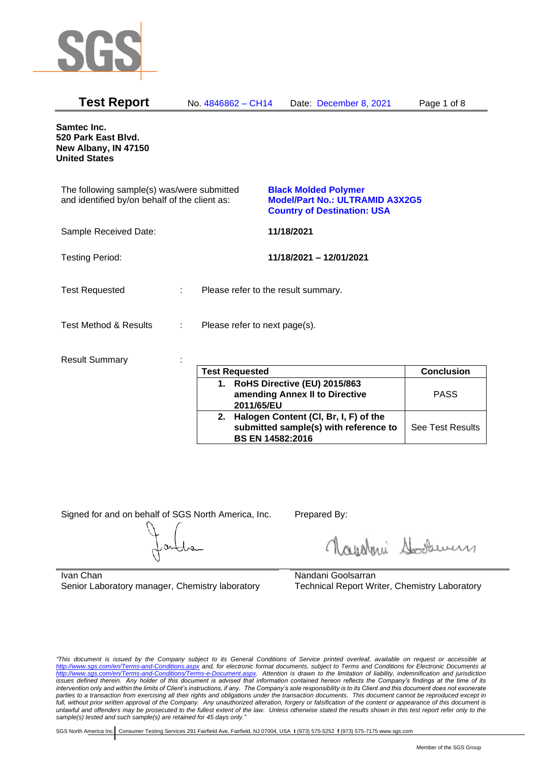

| <b>Test Report</b>                                                                          |    | No. 4846862 - CH14                  |            | Date: December 8, 2021                                                                                      | Page 1 of 8 |
|---------------------------------------------------------------------------------------------|----|-------------------------------------|------------|-------------------------------------------------------------------------------------------------------------|-------------|
| <b>Samtec Inc.</b><br>520 Park East Blvd.<br>New Albany, IN 47150<br><b>United States</b>   |    |                                     |            |                                                                                                             |             |
| The following sample(s) was/were submitted<br>and identified by/on behalf of the client as: |    |                                     |            | <b>Black Molded Polymer</b><br><b>Model/Part No.: ULTRAMID A3X2G5</b><br><b>Country of Destination: USA</b> |             |
| Sample Received Date:                                                                       |    |                                     | 11/18/2021 |                                                                                                             |             |
| <b>Testing Period:</b>                                                                      |    |                                     |            | 11/18/2021 - 12/01/2021                                                                                     |             |
| <b>Test Requested</b>                                                                       | ÷. | Please refer to the result summary. |            |                                                                                                             |             |
| <b>Test Method &amp; Results</b>                                                            | ÷  | Please refer to next page(s).       |            |                                                                                                             |             |
| <b>Result Summary</b>                                                                       |    |                                     |            |                                                                                                             |             |

| <b>Test Requested</b>                                                                                        | <b>Conclusion</b> |
|--------------------------------------------------------------------------------------------------------------|-------------------|
| 1. RoHS Directive (EU) 2015/863<br>amending Annex II to Directive<br>2011/65/EU                              | <b>PASS</b>       |
| 2. Halogen Content (CI, Br, I, F) of the<br>submitted sample(s) with reference to<br><b>BS EN 14582:2016</b> | See Test Results  |

Signed for and on behalf of SGS North America, Inc. Prepared By:

Rosentini Souri

Ivan Chan Senior Laboratory manager, Chemistry laboratory

Nandani Goolsarran Technical Report Writer, Chemistry Laboratory

*"This document is issued by the Company subject to its General Conditions of Service printed overleaf, available on request or accessible at <http://www.sgs.com/en/Terms-and-Conditions.aspx> and, for electronic format documents, subject to Terms and Conditions for Electronic Documents at [http://www.sgs.com/en/Terms-and-Conditions/Terms-e-Document.aspx.](http://www.sgs.com/en/Terms-and-Conditions/Terms-e-Document.aspx) Attention is drawn to the limitation of liability, indemnification and jurisdiction issues defined therein. Any holder of this document is advised that information contained hereon reflects the Company's findings at the time of its intervention only and within the limits of Client's instructions, if any. The Company's sole responsibility is to its Client and this document does not exonerate*  parties to a transaction from exercising all their rights and obligations under the transaction documents. This document cannot be reproduced except in *full, without prior written approval of the Company. Any unauthorized alteration, forgery or falsification of the content or appearance of this document is unlawful and offenders may be prosecuted to the fullest extent of the law. Unless otherwise stated the results shown in this test report refer only to the sample(s) tested and such sample(s) are retained for 45 days only."*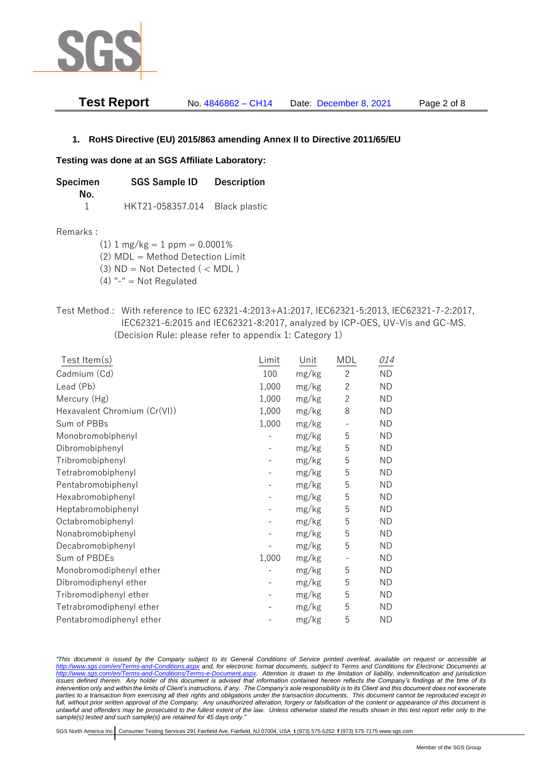

| <b>Test Report</b> | No. 4846862 - CH14 | Date: December 8, 2021 | Page 2 of 8 |
|--------------------|--------------------|------------------------|-------------|
|--------------------|--------------------|------------------------|-------------|

### **1. RoHS Directive (EU) 2015/863 amending Annex II to Directive 2011/65/EU**

#### **Testing was done at an SGS Affiliate Laboratory:**

| Specimen | <b>SGS Sample ID</b> | <b>Description</b> |  |
|----------|----------------------|--------------------|--|
| No.      |                      |                    |  |
|          | HKT21-058357.014     | Black plastic      |  |

#### Remarks :

(1)  $1 \text{ mg/kg} = 1 \text{ ppm} = 0.0001\%$ 

(2) MDL = Method Detection Limit

(3)  $ND = Not detected$  ( < MDL)

- (4) "-" = Not Regulated
- Test Method : With reference to IEC 62321-4:2013+A1:2017, IEC62321-5:2013, IEC62321-7-2:2017, IEC62321-6:2015 and IEC62321-8:2017, analyzed by ICP-OES, UV-Vis and GC-MS. (Decision Rule: please refer to appendix 1: Category 1)

| Test Item(s)                 | Limit | Unit  | MDL            | 014       |
|------------------------------|-------|-------|----------------|-----------|
| Cadmium (Cd)                 | 100   | mg/kg | $\overline{c}$ | <b>ND</b> |
| Lead (Pb)                    | 1,000 | mg/kg | $\overline{2}$ | <b>ND</b> |
| Mercury (Hg)                 | 1,000 | mg/kg | $\overline{2}$ | <b>ND</b> |
| Hexavalent Chromium (Cr(VI)) | 1,000 | mg/kg | 8              | <b>ND</b> |
| Sum of PBBs                  | 1,000 | mg/kg |                | <b>ND</b> |
| Monobromobiphenyl            |       | mg/kg | 5              | <b>ND</b> |
| Dibromobiphenyl              |       | mg/kg | 5              | <b>ND</b> |
| Tribromobiphenyl             |       | mg/kg | 5              | <b>ND</b> |
| Tetrabromobiphenyl           |       | mg/kg | 5              | <b>ND</b> |
| Pentabromobiphenyl           |       | mg/kg | 5              | <b>ND</b> |
| Hexabromobiphenyl            |       | mg/kg | 5              | <b>ND</b> |
| Heptabromobiphenyl           |       | mg/kg | 5              | <b>ND</b> |
| Octabromobiphenyl            |       | mg/kg | 5              | <b>ND</b> |
| Nonabromobiphenyl            |       | mg/kg | 5              | <b>ND</b> |
| Decabromobiphenyl            |       | mg/kg | 5              | <b>ND</b> |
| Sum of PBDEs                 | 1,000 | mg/kg |                | ND        |
| Monobromodiphenyl ether      |       | mg/kg | 5              | <b>ND</b> |
| Dibromodiphenyl ether        |       | mg/kg | 5              | <b>ND</b> |
| Tribromodiphenyl ether       |       | mg/kg | 5              | <b>ND</b> |
| Tetrabromodiphenyl ether     |       | mg/kg | 5              | <b>ND</b> |
| Pentabromodiphenyl ether     |       | mg/kg | 5              | ΝD        |

*"This document is issued by the Company subject to its General Conditions of Service printed overleaf, available on request or accessible at <http://www.sgs.com/en/Terms-and-Conditions.aspx> and, for electronic format documents, subject to Terms and Conditions for Electronic Documents at [http://www.sgs.com/en/Terms-and-Conditions/Terms-e-Document.aspx.](http://www.sgs.com/en/Terms-and-Conditions/Terms-e-Document.aspx) Attention is drawn to the limitation of liability, indemnification and jurisdiction issues defined therein. Any holder of this document is advised that information contained hereon reflects the Company's findings at the time of its intervention only and within the limits of Client's instructions, if any. The Company's sole responsibility is to its Client and this document does not exonerate*  parties to a transaction from exercising all their rights and obligations under the transaction documents. This document cannot be reproduced except in *full, without prior written approval of the Company. Any unauthorized alteration, forgery or falsification of the content or appearance of this document is unlawful and offenders may be prosecuted to the fullest extent of the law. Unless otherwise stated the results shown in this test report refer only to the sample(s) tested and such sample(s) are retained for 45 days only."*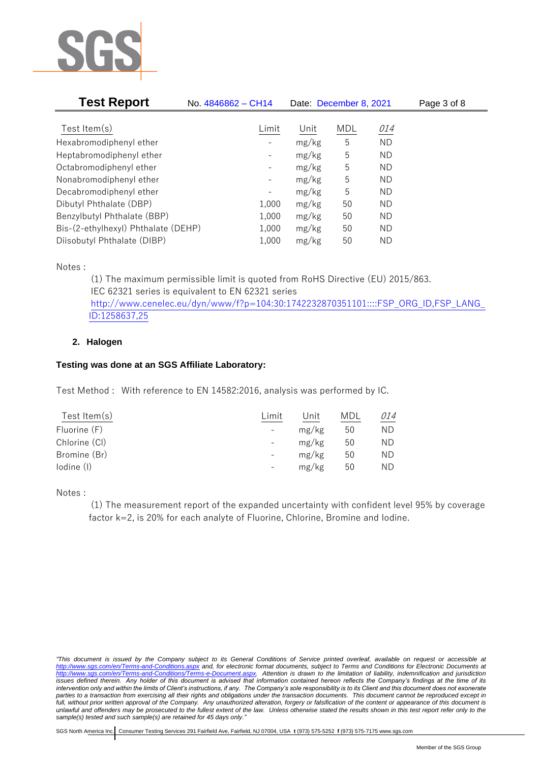

| <b>Test Report</b>                  | No. 4846862 - CH14           | Date: December 8, 2021 |            |           | Page 3 of 8 |
|-------------------------------------|------------------------------|------------------------|------------|-----------|-------------|
|                                     |                              |                        |            |           |             |
| Test Item $(s)$                     | Limit                        | Unit                   | <b>MDL</b> | 014       |             |
| Hexabromodiphenyl ether             |                              | mg/kg                  | 5          | <b>ND</b> |             |
| Heptabromodiphenyl ether            |                              | mg/kg                  | 5          | ND        |             |
| Octabromodiphenyl ether             | -                            | mg/kg                  | 5          | ΝD        |             |
| Nonabromodiphenyl ether             | -                            | mg/kg                  | 5          | ΝD        |             |
| Decabromodiphenyl ether             | $\qquad \qquad \blacksquare$ | mg/kg                  | 5          | ΝD        |             |
| Dibutyl Phthalate (DBP)             | 1,000                        | mg/kg                  | 50         | ΝD        |             |
| Benzylbutyl Phthalate (BBP)         | 1,000                        | mg/kg                  | 50         | ΝD        |             |
| Bis-(2-ethylhexyl) Phthalate (DEHP) | 1,000                        | mg/kg                  | 50         | ΝD        |             |
| Diisobutyl Phthalate (DIBP)         | 1,000                        | mg/kg                  | 50         | ND        |             |

Notes :

(1) The maximum permissible limit is quoted from RoHS Directive (EU) 2015/863. IEC 62321 series is equivalent to EN 62321 series [http://www.cenelec.eu/dyn/www/f?p=104:30:1742232870351101::::FSP\\_ORG\\_ID,FSP\\_LANG\\_](http://www.cenelec.eu/dyn/www/f?p=104:30:1742232870351101::::FSP_ORG_ID,FSP_LANG_ID:1258637,25) [ID:1258637,25](http://www.cenelec.eu/dyn/www/f?p=104:30:1742232870351101::::FSP_ORG_ID,FSP_LANG_ID:1258637,25)

## **2. Halogen**

### **Testing was done at an SGS Affiliate Laboratory:**

Test Method : With reference to EN 14582:2016, analysis was performed by IC.

| Test Item $(s)$ | Limit                    | Unit  | MDL | 014 |
|-----------------|--------------------------|-------|-----|-----|
| Fluorine (F)    | $\overline{\phantom{a}}$ | mg/kg | 50  | ND  |
| Chlorine (CI)   | $\qquad \qquad -$        | mg/kg | 50  | ND  |
| Bromine (Br)    |                          | mg/kg | 50  | ND  |
| lodine (I)      | -                        | mg/kg | 50  | ND  |
|                 |                          |       |     |     |

Notes :

(1) The measurement report of the expanded uncertainty with confident level 95% by coverage factor k=2, is 20% for each analyte of Fluorine, Chlorine, Bromine and Iodine.

*<sup>&</sup>quot;This document is issued by the Company subject to its General Conditions of Service printed overleaf, available on request or accessible at <http://www.sgs.com/en/Terms-and-Conditions.aspx> and, for electronic format documents, subject to Terms and Conditions for Electronic Documents at [http://www.sgs.com/en/Terms-and-Conditions/Terms-e-Document.aspx.](http://www.sgs.com/en/Terms-and-Conditions/Terms-e-Document.aspx) Attention is drawn to the limitation of liability, indemnification and jurisdiction issues defined therein. Any holder of this document is advised that information contained hereon reflects the Company's findings at the time of its intervention only and within the limits of Client's instructions, if any. The Company's sole responsibility is to its Client and this document does not exonerate*  parties to a transaction from exercising all their rights and obligations under the transaction documents. This document cannot be reproduced except in *full, without prior written approval of the Company. Any unauthorized alteration, forgery or falsification of the content or appearance of this document is unlawful and offenders may be prosecuted to the fullest extent of the law. Unless otherwise stated the results shown in this test report refer only to the sample(s) tested and such sample(s) are retained for 45 days only."*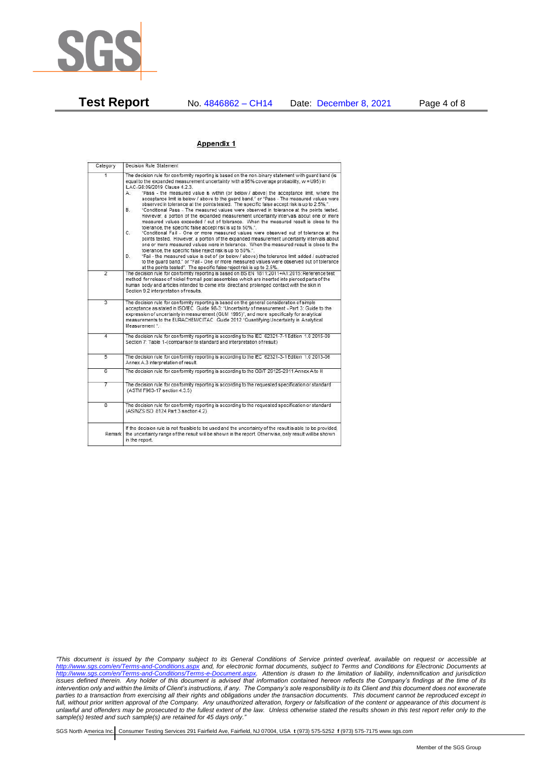

**Test Report** No. 4846862 – CH14 Date: December 8, 2021 Page 4 of 8

#### Appendix 1

| Category       | Decision Rule Statement                                                                                                                                                                                                                                                                                                                                                                                                                                                                                                                                                                                                                                                                                                                                                                                                                                                                                                                                                                                                                                                                                                                                                                                                                                                                                                                                                                                                                                                                                                    |
|----------------|----------------------------------------------------------------------------------------------------------------------------------------------------------------------------------------------------------------------------------------------------------------------------------------------------------------------------------------------------------------------------------------------------------------------------------------------------------------------------------------------------------------------------------------------------------------------------------------------------------------------------------------------------------------------------------------------------------------------------------------------------------------------------------------------------------------------------------------------------------------------------------------------------------------------------------------------------------------------------------------------------------------------------------------------------------------------------------------------------------------------------------------------------------------------------------------------------------------------------------------------------------------------------------------------------------------------------------------------------------------------------------------------------------------------------------------------------------------------------------------------------------------------------|
| $\overline{1}$ | The decision rule for conformity reporting is based on the non-binary statement with quard band (is<br>equal to the expanded measurement uncertainty with a 95% coverage probability, w = U95) in<br>ILAC-G8:09/2019 Clause 4.2.3.<br>"Pass - the measured value is within (or below / above) the acceptance limit, where the<br>А.<br>acceptance limit is below / above to the quard band." or "Pass - The measured values were<br>observed in tolerance at the points tested. The specific false accept risk is up to 2.5%.".<br><b>B</b> .<br>"Conditional Pass - The measured values were observed in tolerance at the points tested.<br>However, a portion of the expanded measurement uncertainty intervals about one or more<br>measured values exceeded / out of tolerance. When the measured result is close to the<br>tolerance, the specific false accept risk is up to 50%.".<br>C.<br>"Conditional Fail - One or more measured values were observed out of tolerance at the<br>points tested. However, a portion of the expanded measurement uncertainty intervals about<br>one or more measured values were in tolerance. When the measured result is close to the<br>tolerance, the specific false reject risk is up to 50%.".<br>"Fail - the measured value is out of (or below / above) the tolerance limit added / subtracted<br>D.<br>to the quard band." or "Fail - One or more measured values were observed out of tolerance<br>at the points tested". The specific false reject risk is up to 2.5%. |
| $\overline{2}$ | The decision rule for conformity reporting is based on BS EN 1811:2011+A1:2015: Reference test<br>method for release of nickel from all post assemblies which are inserted into pierced parts of the<br>human body and articles intended to come into direct and prolonged contact with the skin in<br>Section 9.2 interpretation of results.                                                                                                                                                                                                                                                                                                                                                                                                                                                                                                                                                                                                                                                                                                                                                                                                                                                                                                                                                                                                                                                                                                                                                                              |
| $\overline{3}$ | The decision rule for conformity reporting is based on the general consideration of simple<br>acceptance as stated in ISO/IEC Guide 98-3: "Uncertainty of measurement - Part 3: Guide to the<br>expression of uncertainty in measurement (GUM 1995)", and more specifically for analytical<br>measurements to the EURACHEM/CITAC Guide 2012 "Quantifying Uncertainty in Analytical<br>Measurement <sup>*</sup>                                                                                                                                                                                                                                                                                                                                                                                                                                                                                                                                                                                                                                                                                                                                                                                                                                                                                                                                                                                                                                                                                                             |
| 4              | The decision rule for conformity reporting is according to the IEC 62321-7-1 Edition 1.0 2015-09<br>Section 7: Table 1-(comparison to standard and interpretation of result)                                                                                                                                                                                                                                                                                                                                                                                                                                                                                                                                                                                                                                                                                                                                                                                                                                                                                                                                                                                                                                                                                                                                                                                                                                                                                                                                               |
| $\overline{5}$ | The decision rule for conformity reporting is according to the IEC 62321-3-1 Edition 1.0 2013-06<br>Annex A.3 interpretation of result.                                                                                                                                                                                                                                                                                                                                                                                                                                                                                                                                                                                                                                                                                                                                                                                                                                                                                                                                                                                                                                                                                                                                                                                                                                                                                                                                                                                    |
| 6              | The decision rule for conformity reporting is according to the GB/T 26125-2011 Annex A to H                                                                                                                                                                                                                                                                                                                                                                                                                                                                                                                                                                                                                                                                                                                                                                                                                                                                                                                                                                                                                                                                                                                                                                                                                                                                                                                                                                                                                                |
| 7              | The decision rule for conformity reporting is according to the requested specification or standard<br>(ASTM F963-17 section 4.3.5)                                                                                                                                                                                                                                                                                                                                                                                                                                                                                                                                                                                                                                                                                                                                                                                                                                                                                                                                                                                                                                                                                                                                                                                                                                                                                                                                                                                         |
| $\overline{8}$ | The decision rule for conformity reporting is according to the requested specification or standard<br>(AS/NZS ISO 8124 Part 3 section 4.2)                                                                                                                                                                                                                                                                                                                                                                                                                                                                                                                                                                                                                                                                                                                                                                                                                                                                                                                                                                                                                                                                                                                                                                                                                                                                                                                                                                                 |
| Remark I       | If the decision rule is not feasible to be used and the uncertainty of the result is able to be provided.<br>the uncertainty range of the result will be shown in the report. Otherwise, only result will be shown<br>in the report.                                                                                                                                                                                                                                                                                                                                                                                                                                                                                                                                                                                                                                                                                                                                                                                                                                                                                                                                                                                                                                                                                                                                                                                                                                                                                       |

*"This document is issued by the Company subject to its General Conditions of Service printed overleaf, available on request or accessible at <http://www.sgs.com/en/Terms-and-Conditions.aspx> and, for electronic format documents, subject to Terms and Conditions for Electronic Documents at [http://www.sgs.com/en/Terms-and-Conditions/Terms-e-Document.aspx.](http://www.sgs.com/en/Terms-and-Conditions/Terms-e-Document.aspx) Attention is drawn to the limitation of liability, indemnification and jurisdiction issues defined therein. Any holder of this document is advised that information contained hereon reflects the Company's findings at the time of its intervention only and within the limits of Client's instructions, if any. The Company's sole responsibility is to its Client and this document does not exonerate parties to a transaction from exercising all their rights and obligations under the transaction documents. This document cannot be reproduced except in full, without prior written approval of the Company. Any unauthorized alteration, forgery or falsification of the content or appearance of this document is unlawful and offenders may be prosecuted to the fullest extent of the law. Unless otherwise stated the results shown in this test report refer only to the sample(s) tested and such sample(s) are retained for 45 days only."*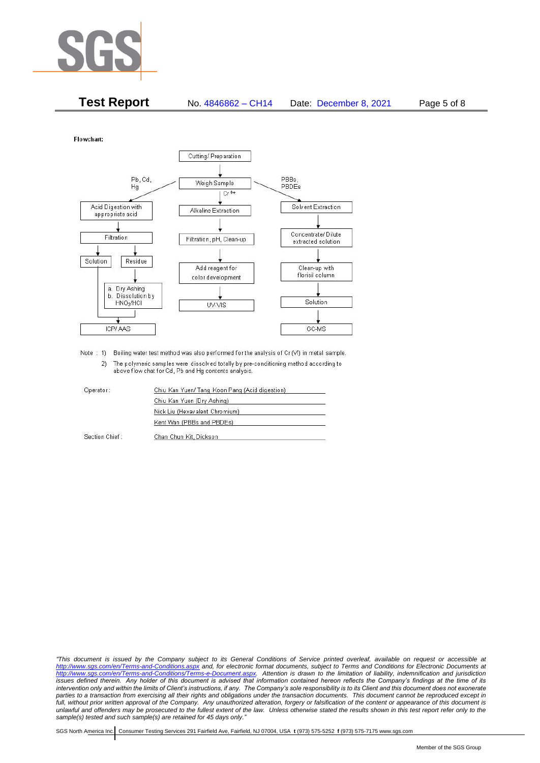

| <b>Test Report</b> | No. 4846862 - CH14 | Date: December 8, 2021 | Page 5 of 8 |
|--------------------|--------------------|------------------------|-------------|
|--------------------|--------------------|------------------------|-------------|

Flowchart:



Note : 1) Boiling water test method was also performed for the analysis of Cr (VI) in metal sample. 2) The polymeric samples were dissolved totally by pre-conditioning method according to above flow chat for Cd, Pb and Hg contents analysis

| Operator:      | Chiu Kan Yuen/ Tang Koon Pang (Acid digestion) |  |
|----------------|------------------------------------------------|--|
|                | Chiu Kan Yuen (Dry Ashing)                     |  |
|                | Nick Liu (Hexavalent Chromium)                 |  |
|                | Kent Wan (PBBs and PBDEs)                      |  |
| Section Chief: | Chan Chun Kit, Dickson                         |  |

*"This document is issued by the Company subject to its General Conditions of Service printed overleaf, available on request or accessible at <http://www.sgs.com/en/Terms-and-Conditions.aspx> and, for electronic format documents, subject to Terms and Conditions for Electronic Documents at [http://www.sgs.com/en/Terms-and-Conditions/Terms-e-Document.aspx.](http://www.sgs.com/en/Terms-and-Conditions/Terms-e-Document.aspx) Attention is drawn to the limitation of liability, indemnification and jurisdiction issues defined therein. Any holder of this document is advised that information contained hereon reflects the Company's findings at the time of its intervention only and within the limits of Client's instructions, if any. The Company's sole responsibility is to its Client and this document does not exonerate*  parties to a transaction from exercising all their rights and obligations under the transaction documents. This document cannot be reproduced except in *full, without prior written approval of the Company. Any unauthorized alteration, forgery or falsification of the content or appearance of this document is unlawful and offenders may be prosecuted to the fullest extent of the law. Unless otherwise stated the results shown in this test report refer only to the sample(s) tested and such sample(s) are retained for 45 days only."*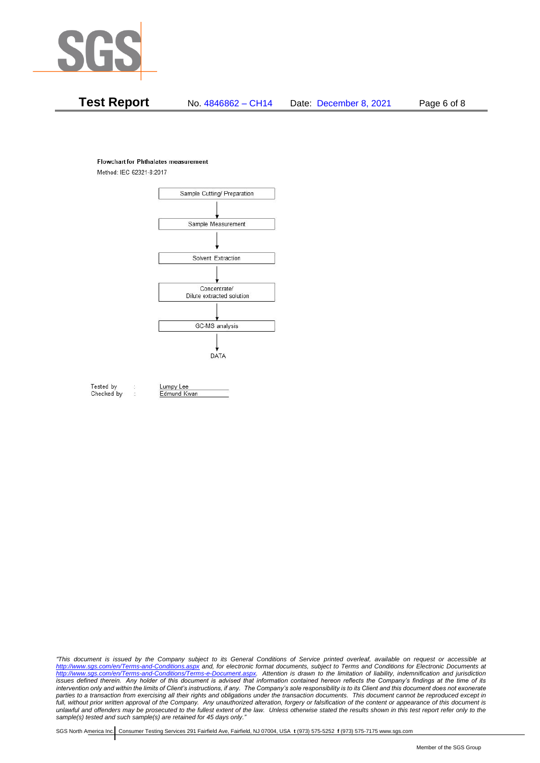

# **Test Report** No. 4846862 – CH14 Date: December 8, 2021 Page 6 of 8

#### **Flowchart for Phthalates measurement**

Method: IEC 62321-8:2017



Tested by Checked by Lumpy Lee

Edmund Kwan

*"This document is issued by the Company subject to its General Conditions of Service printed overleaf, available on request or accessible at <http://www.sgs.com/en/Terms-and-Conditions.aspx> and, for electronic format documents, subject to Terms and Conditions for Electronic Documents at [http://www.sgs.com/en/Terms-and-Conditions/Terms-e-Document.aspx.](http://www.sgs.com/en/Terms-and-Conditions/Terms-e-Document.aspx) Attention is drawn to the limitation of liability, indemnification and jurisdiction issues defined therein. Any holder of this document is advised that information contained hereon reflects the Company's findings at the time of its intervention only and within the limits of Client's instructions, if any. The Company's sole responsibility is to its Client and this document does not exonerate*  parties to a transaction from exercising all their rights and obligations under the transaction documents. This document cannot be reproduced except in *full, without prior written approval of the Company. Any unauthorized alteration, forgery or falsification of the content or appearance of this document is unlawful and offenders may be prosecuted to the fullest extent of the law. Unless otherwise stated the results shown in this test report refer only to the sample(s) tested and such sample(s) are retained for 45 days only."*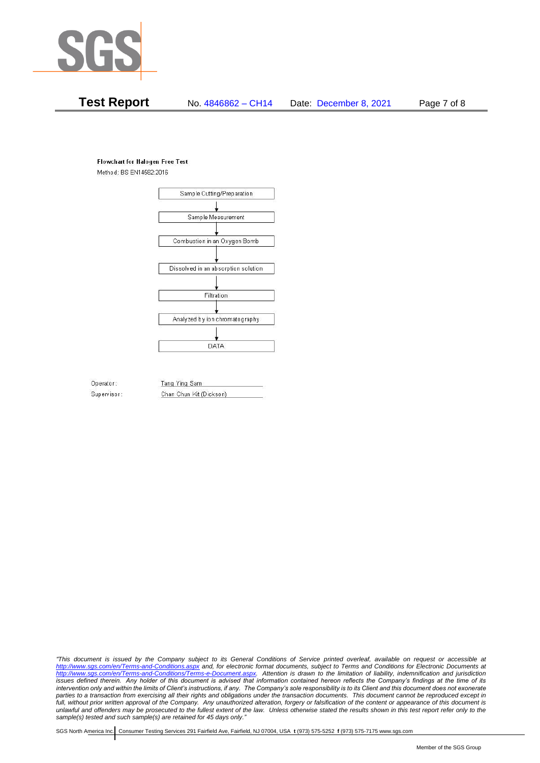

## **Test Report** No. 4846862 – CH14 Date: December 8, 2021 Page 7 of 8

#### **Flowchart for Halogen Free Test**

Method: BS EN14582:2016



Operator: Supervisor: Tang Ying Sam Chan Chun Kit (Dickson)

*"This document is issued by the Company subject to its General Conditions of Service printed overleaf, available on request or accessible at <http://www.sgs.com/en/Terms-and-Conditions.aspx> and, for electronic format documents, subject to Terms and Conditions for Electronic Documents at [http://www.sgs.com/en/Terms-and-Conditions/Terms-e-Document.aspx.](http://www.sgs.com/en/Terms-and-Conditions/Terms-e-Document.aspx) Attention is drawn to the limitation of liability, indemnification and jurisdiction issues defined therein. Any holder of this document is advised that information contained hereon reflects the Company's findings at the time of its intervention only and within the limits of Client's instructions, if any. The Company's sole responsibility is to its Client and this document does not exonerate*  parties to a transaction from exercising all their rights and obligations under the transaction documents. This document cannot be reproduced except in *full, without prior written approval of the Company. Any unauthorized alteration, forgery or falsification of the content or appearance of this document is unlawful and offenders may be prosecuted to the fullest extent of the law. Unless otherwise stated the results shown in this test report refer only to the sample(s) tested and such sample(s) are retained for 45 days only."*